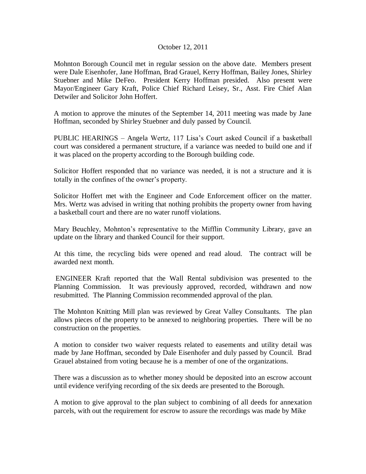## October 12, 2011

Mohnton Borough Council met in regular session on the above date. Members present were Dale Eisenhofer, Jane Hoffman, Brad Grauel, Kerry Hoffman, Bailey Jones, Shirley Stuebner and Mike DeFeo. President Kerry Hoffman presided. Also present were Mayor/Engineer Gary Kraft, Police Chief Richard Leisey, Sr., Asst. Fire Chief Alan Detwiler and Solicitor John Hoffert.

A motion to approve the minutes of the September 14, 2011 meeting was made by Jane Hoffman, seconded by Shirley Stuebner and duly passed by Council.

PUBLIC HEARINGS – Angela Wertz, 117 Lisa's Court asked Council if a basketball court was considered a permanent structure, if a variance was needed to build one and if it was placed on the property according to the Borough building code.

Solicitor Hoffert responded that no variance was needed, it is not a structure and it is totally in the confines of the owner's property.

Solicitor Hoffert met with the Engineer and Code Enforcement officer on the matter. Mrs. Wertz was advised in writing that nothing prohibits the property owner from having a basketball court and there are no water runoff violations.

Mary Beuchley, Mohnton's representative to the Mifflin Community Library, gave an update on the library and thanked Council for their support.

At this time, the recycling bids were opened and read aloud. The contract will be awarded next month.

ENGINEER Kraft reported that the Wall Rental subdivision was presented to the Planning Commission. It was previously approved, recorded, withdrawn and now resubmitted. The Planning Commission recommended approval of the plan.

The Mohnton Knitting Mill plan was reviewed by Great Valley Consultants. The plan allows pieces of the property to be annexed to neighboring properties. There will be no construction on the properties.

A motion to consider two waiver requests related to easements and utility detail was made by Jane Hoffman, seconded by Dale Eisenhofer and duly passed by Council. Brad Grauel abstained from voting because he is a member of one of the organizations.

There was a discussion as to whether money should be deposited into an escrow account until evidence verifying recording of the six deeds are presented to the Borough.

A motion to give approval to the plan subject to combining of all deeds for annexation parcels, with out the requirement for escrow to assure the recordings was made by Mike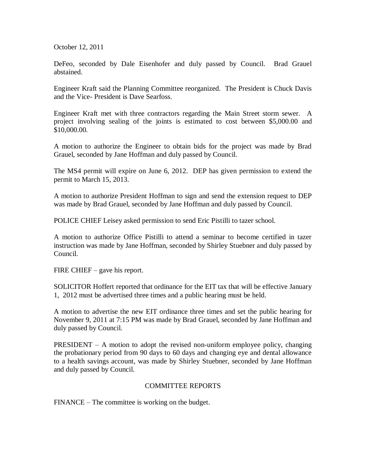October 12, 2011

DeFeo, seconded by Dale Eisenhofer and duly passed by Council. Brad Grauel abstained.

Engineer Kraft said the Planning Committee reorganized. The President is Chuck Davis and the Vice- President is Dave Searfoss.

Engineer Kraft met with three contractors regarding the Main Street storm sewer. A project involving sealing of the joints is estimated to cost between \$5,000.00 and \$10,000.00.

A motion to authorize the Engineer to obtain bids for the project was made by Brad Grauel, seconded by Jane Hoffman and duly passed by Council.

The MS4 permit will expire on June 6, 2012. DEP has given permission to extend the permit to March 15, 2013.

A motion to authorize President Hoffman to sign and send the extension request to DEP was made by Brad Grauel, seconded by Jane Hoffman and duly passed by Council.

POLICE CHIEF Leisey asked permission to send Eric Pistilli to tazer school.

A motion to authorize Office Pistilli to attend a seminar to become certified in tazer instruction was made by Jane Hoffman, seconded by Shirley Stuebner and duly passed by Council.

FIRE CHIEF – gave his report.

SOLICITOR Hoffert reported that ordinance for the EIT tax that will be effective January 1, 2012 must be advertised three times and a public hearing must be held.

A motion to advertise the new EIT ordinance three times and set the public hearing for November 9, 2011 at 7:15 PM was made by Brad Grauel, seconded by Jane Hoffman and duly passed by Council.

**PRESIDENT** – A motion to adopt the revised non-uniform employee policy, changing the probationary period from 90 days to 60 days and changing eye and dental allowance to a health savings account, was made by Shirley Stuebner, seconded by Jane Hoffman and duly passed by Council.

## COMMITTEE REPORTS

FINANCE – The committee is working on the budget.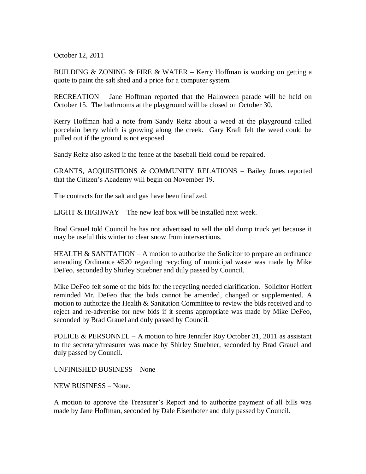October 12, 2011

BUILDING & ZONING & FIRE & WATER – Kerry Hoffman is working on getting a quote to paint the salt shed and a price for a computer system.

RECREATION – Jane Hoffman reported that the Halloween parade will be held on October 15. The bathrooms at the playground will be closed on October 30.

Kerry Hoffman had a note from Sandy Reitz about a weed at the playground called porcelain berry which is growing along the creek. Gary Kraft felt the weed could be pulled out if the ground is not exposed.

Sandy Reitz also asked if the fence at the baseball field could be repaired.

GRANTS, ACQUISITIONS & COMMUNITY RELATIONS – Bailey Jones reported that the Citizen's Academy will begin on November 19.

The contracts for the salt and gas have been finalized.

LIGHT & HIGHWAY – The new leaf box will be installed next week.

Brad Grauel told Council he has not advertised to sell the old dump truck yet because it may be useful this winter to clear snow from intersections.

HEALTH & SANITATION – A motion to authorize the Solicitor to prepare an ordinance amending Ordinance #520 regarding recycling of municipal waste was made by Mike DeFeo, seconded by Shirley Stuebner and duly passed by Council.

Mike DeFeo felt some of the bids for the recycling needed clarification. Solicitor Hoffert reminded Mr. DeFeo that the bids cannot be amended, changed or supplemented. A motion to authorize the Health & Sanitation Committee to review the bids received and to reject and re-advertise for new bids if it seems appropriate was made by Mike DeFeo, seconded by Brad Grauel and duly passed by Council.

POLICE & PERSONNEL – A motion to hire Jennifer Roy October 31, 2011 as assistant to the secretary/treasurer was made by Shirley Stuebner, seconded by Brad Grauel and duly passed by Council.

UNFINISHED BUSINESS – None

NEW BUSINESS – None.

A motion to approve the Treasurer's Report and to authorize payment of all bills was made by Jane Hoffman, seconded by Dale Eisenhofer and duly passed by Council.